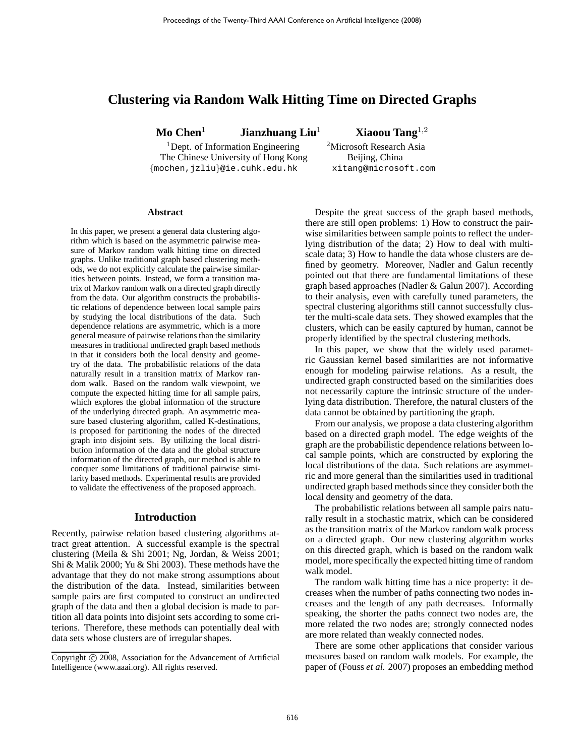# **Clustering via Random Walk Hitting Time on Directed Graphs**

**Mo Chen**<sup>1</sup> **Jianzhuang Liu**<sup>1</sup> **Xiaoou Tang**<sup>1</sup>,<sup>2</sup>

<sup>1</sup>Dept. of Information Engineering <sup>2</sup>Microsoft Research Asia The Chinese University of Hong Kong Beijing, China {mochen,jzliu}@ie.cuhk.edu.hk xitang@microsoft.com

#### **Abstract**

In this paper, we present a general data clustering algorithm which is based on the asymmetric pairwise measure of Markov random walk hitting time on directed graphs. Unlike traditional graph based clustering methods, we do not explicitly calculate the pairwise similarities between points. Instead, we form a transition matrix of Markov random walk on a directed graph directly from the data. Our algorithm constructs the probabilistic relations of dependence between local sample pairs by studying the local distributions of the data. Such dependence relations are asymmetric, which is a more general measure of pairwise relations than the similarity measures in traditional undirected graph based methods in that it considers both the local density and geometry of the data. The probabilistic relations of the data naturally result in a transition matrix of Markov random walk. Based on the random walk viewpoint, we compute the expected hitting time for all sample pairs, which explores the global information of the structure of the underlying directed graph. An asymmetric measure based clustering algorithm, called K-destinations, is proposed for partitioning the nodes of the directed graph into disjoint sets. By utilizing the local distribution information of the data and the global structure information of the directed graph, our method is able to conquer some limitations of traditional pairwise similarity based methods. Experimental results are provided to validate the effectiveness of the proposed approach.

#### **Introduction**

Recently, pairwise relation based clustering algorithms attract great attention. A successful example is the spectral clustering (Meila & Shi 2001; Ng, Jordan, & Weiss 2001; Shi & Malik 2000; Yu & Shi 2003). These methods have the advantage that they do not make strong assumptions about the distribution of the data. Instead, similarities between sample pairs are first computed to construct an undirected graph of the data and then a global decision is made to partition all data points into disjoint sets according to some criterions. Therefore, these methods can potentially deal with data sets whose clusters are of irregular shapes.

Despite the great success of the graph based methods, there are still open problems: 1) How to construct the pairwise similarities between sample points to reflect the underlying distribution of the data; 2) How to deal with multiscale data; 3) How to handle the data whose clusters are defined by geometry. Moreover, Nadler and Galun recently pointed out that there are fundamental limitations of these graph based approaches (Nadler & Galun 2007). According to their analysis, even with carefully tuned parameters, the spectral clustering algorithms still cannot successfully cluster the multi-scale data sets. They showed examples that the clusters, which can be easily captured by human, cannot be properly identified by the spectral clustering methods.

In this paper, we show that the widely used parametric Gaussian kernel based similarities are not informative enough for modeling pairwise relations. As a result, the undirected graph constructed based on the similarities does not necessarily capture the intrinsic structure of the underlying data distribution. Therefore, the natural clusters of the data cannot be obtained by partitioning the graph.

From our analysis, we propose a data clustering algorithm based on a directed graph model. The edge weights of the graph are the probabilistic dependence relations between local sample points, which are constructed by exploring the local distributions of the data. Such relations are asymmetric and more general than the similarities used in traditional undirected graph based methods since they consider both the local density and geometry of the data.

The probabilistic relations between all sample pairs naturally result in a stochastic matrix, which can be considered as the transition matrix of the Markov random walk process on a directed graph. Our new clustering algorithm works on this directed graph, which is based on the random walk model, more specifically the expected hitting time of random walk model.

The random walk hitting time has a nice property: it decreases when the number of paths connecting two nodes increases and the length of any path decreases. Informally speaking, the shorter the paths connect two nodes are, the more related the two nodes are; strongly connected nodes are more related than weakly connected nodes.

There are some other applications that consider various measures based on random walk models. For example, the paper of (Fouss *et al.* 2007) proposes an embedding method

Copyright (c) 2008, Association for the Advancement of Artificial Intelligence (www.aaai.org). All rights reserved.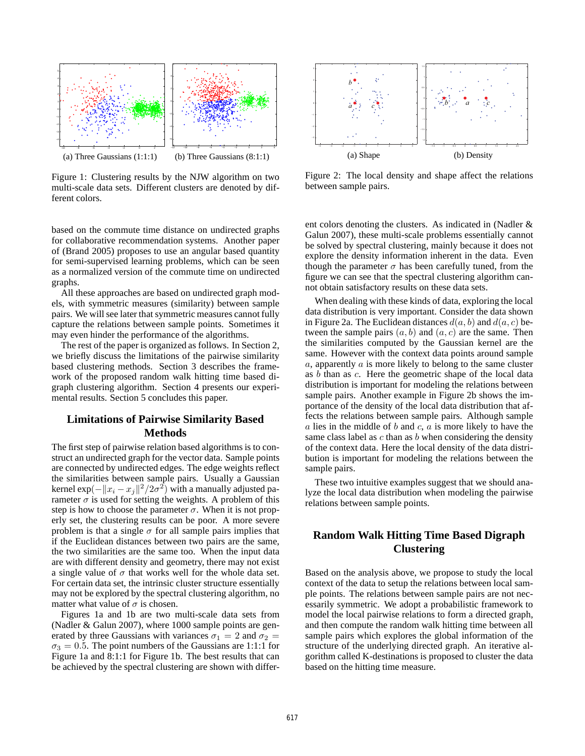

Figure 1: Clustering results by the NJW algorithm on two multi-scale data sets. Different clusters are denoted by different colors.

based on the commute time distance on undirected graphs for collaborative recommendation systems. Another paper of (Brand 2005) proposes to use an angular based quantity for semi-supervised learning problems, which can be seen as a normalized version of the commute time on undirected graphs.

All these approaches are based on undirected graph models, with symmetric measures (similarity) between sample pairs. We will see later that symmetric measures cannot fully capture the relations between sample points. Sometimes it may even hinder the performance of the algorithms.

The rest of the paper is organized as follows. In Section 2, we briefly discuss the limitations of the pairwise similarity based clustering methods. Section 3 describes the framework of the proposed random walk hitting time based digraph clustering algorithm. Section 4 presents our experimental results. Section 5 concludes this paper.

# **Limitations of Pairwise Similarity Based Methods**

The first step of pairwise relation based algorithms is to construct an undirected graph for the vector data. Sample points are connected by undirected edges. The edge weights reflect the similarities between sample pairs. Usually a Gaussian kernel exp $(-\|x_i - x_j\|^2/2\sigma^2)$  with a manually adjusted parameter  $\sigma$  is used for setting the weights. A problem of this step is how to choose the parameter  $\sigma$ . When it is not properly set, the clustering results can be poor. A more severe problem is that a single  $\sigma$  for all sample pairs implies that if the Euclidean distances between two pairs are the same, the two similarities are the same too. When the input data are with different density and geometry, there may not exist a single value of  $\sigma$  that works well for the whole data set. For certain data set, the intrinsic cluster structure essentially may not be explored by the spectral clustering algorithm, no matter what value of  $\sigma$  is chosen.

Figures 1a and 1b are two multi-scale data sets from (Nadler & Galun 2007), where 1000 sample points are generated by three Gaussians with variances  $\sigma_1 = 2$  and  $\sigma_2 =$  $\sigma_3 = 0.5$ . The point numbers of the Gaussians are 1:1:1 for Figure 1a and 8:1:1 for Figure 1b. The best results that can be achieved by the spectral clustering are shown with differ-



Figure 2: The local density and shape affect the relations between sample pairs.

ent colors denoting the clusters. As indicated in (Nadler & Galun 2007), these multi-scale problems essentially cannot be solved by spectral clustering, mainly because it does not explore the density information inherent in the data. Even though the parameter  $\sigma$  has been carefully tuned, from the figure we can see that the spectral clustering algorithm cannot obtain satisfactory results on these data sets.

When dealing with these kinds of data, exploring the local data distribution is very important. Consider the data shown in Figure 2a. The Euclidean distances  $d(a, b)$  and  $d(a, c)$  between the sample pairs  $(a, b)$  and  $(a, c)$  are the same. Then the similarities computed by the Gaussian kernel are the same. However with the context data points around sample  $a$ , apparently  $a$  is more likely to belong to the same cluster as b than as c. Here the geometric shape of the local data distribution is important for modeling the relations between sample pairs. Another example in Figure 2b shows the importance of the density of the local data distribution that affects the relations between sample pairs. Although sample  $a$  lies in the middle of  $b$  and  $c$ ,  $a$  is more likely to have the same class label as  $c$  than as  $b$  when considering the density of the context data. Here the local density of the data distribution is important for modeling the relations between the sample pairs.

These two intuitive examples suggest that we should analyze the local data distribution when modeling the pairwise relations between sample points.

# **Random Walk Hitting Time Based Digraph Clustering**

Based on the analysis above, we propose to study the local context of the data to setup the relations between local sample points. The relations between sample pairs are not necessarily symmetric. We adopt a probabilistic framework to model the local pairwise relations to form a directed graph, and then compute the random walk hitting time between all sample pairs which explores the global information of the structure of the underlying directed graph. An iterative algorithm called K-destinations is proposed to cluster the data based on the hitting time measure.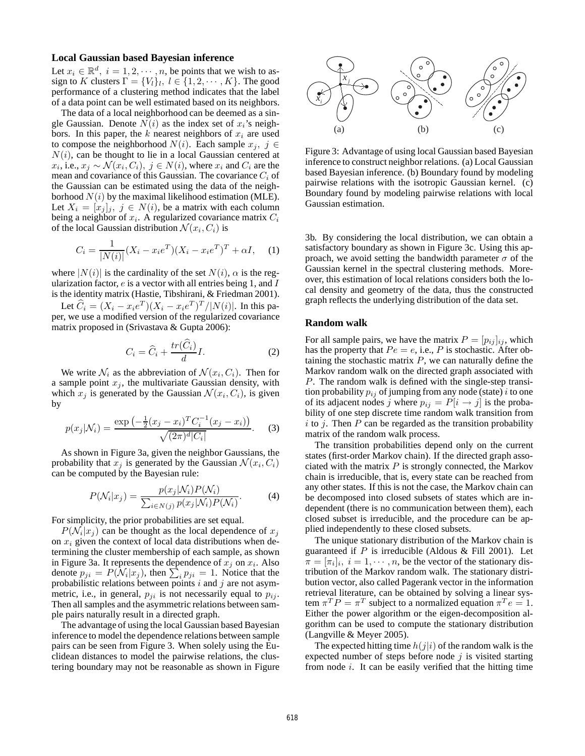#### **Local Gaussian based Bayesian inference**

Let  $x_i \in \mathbb{R}^d$ ,  $i = 1, 2, \dots, n$ , be points that we wish to assign to K clusters  $\Gamma = \{V_l\}_l, l \in \{1, 2, \cdots, K\}$ . The good performance of a clustering method indicates that the label of a data point can be well estimated based on its neighbors.

The data of a local neighborhood can be deemed as a single Gaussian. Denote  $N(i)$  as the index set of  $x_i$ 's neighbors. In this paper, the  $k$  nearest neighbors of  $x_i$  are used to compose the neighborhood  $N(i)$ . Each sample  $x_j, j \in$  $N(i)$ , can be thought to lie in a local Gaussian centered at  $x_i$ , i.e.,  $x_j \sim \mathcal{N}(x_i, C_i)$ ,  $j \in N(i)$ , where  $x_i$  and  $C_i$  are the mean and covariance of this Gaussian. The covariance  $C_i$  of the Gaussian can be estimated using the data of the neighborhood  $N(i)$  by the maximal likelihood estimation (MLE). Let  $X_i = [x_j]_j$ ,  $j \in N(i)$ , be a matrix with each column being a neighbor of  $x_i$ . A regularized covariance matrix  $C_i$ of the local Gaussian distribution  $\mathcal{N}(x_i, C_i)$  is

$$
C_i = \frac{1}{|N(i)|} (X_i - x_i e^T)(X_i - x_i e^T)^T + \alpha I, \quad (1)
$$

where  $|N(i)|$  is the cardinality of the set  $N(i)$ ,  $\alpha$  is the regularization factor,  $e$  is a vector with all entries being 1, and  $I$ is the identity matrix (Hastie, Tibshirani, & Friedman 2001).

Let  $\hat{C}_i = (X_i - x_i e^T)(X_i - x_i e^T)^T / |N(i)|$ . In this paper, we use a modified version of the regularized covariance matrix proposed in (Srivastava & Gupta 2006):

$$
C_i = \widehat{C}_i + \frac{tr(\widehat{C}_i)}{d}I.
$$
 (2)

We write  $\mathcal{N}_i$  as the abbreviation of  $\mathcal{N}(x_i, C_i)$ . Then for a sample point  $x_j$ , the multivariate Gaussian density, with which  $x_j$  is generated by the Gaussian  $\mathcal{N}(x_i, C_i)$ , is given by

$$
p(x_j|\mathcal{N}_i) = \frac{\exp\left(-\frac{1}{2}(x_j - x_i)^T C_i^{-1}(x_j - x_i)\right)}{\sqrt{(2\pi)^d |C_i|}}.
$$
 (3)

As shown in Figure 3a, given the neighbor Gaussians, the probability that  $x_j$  is generated by the Gaussian  $\mathcal{N}(x_i, C_i)$ can be computed by the Bayesian rule:

$$
P(\mathcal{N}_i|x_j) = \frac{p(x_j|\mathcal{N}_i)P(\mathcal{N}_i)}{\sum_{i \in N(j)} p(x_j|\mathcal{N}_i)P(\mathcal{N}_i)}.
$$
 (4)

For simplicity, the prior probabilities are set equal.

 $P(\mathcal{N}_i|x_j)$  can be thought as the local dependence of  $x_j$ on  $x_i$  given the context of local data distributions when determining the cluster membership of each sample, as shown in Figure 3a. It represents the dependence of  $x_j$  on  $x_i$ . Also denote  $p_{ji} = P(\mathcal{N}_i | x_j)$ , then  $\sum_i p_{ji} = 1$ . Notice that the probabilistic relations between points i and j are not asymmetric, i.e., in general,  $p_{ii}$  is not necessarily equal to  $p_{ii}$ . Then all samples and the asymmetric relations between sample pairs naturally result in a directed graph.

The advantage of using the local Gaussian based Bayesian inference to model the dependence relations between sample pairs can be seen from Figure 3. When solely using the Euclidean distances to model the pairwise relations, the clustering boundary may not be reasonable as shown in Figure



Figure 3: Advantage of using local Gaussian based Bayesian inference to construct neighbor relations. (a) Local Gaussian based Bayesian inference. (b) Boundary found by modeling pairwise relations with the isotropic Gaussian kernel. (c) Boundary found by modeling pairwise relations with local Gaussian estimation.

3b. By considering the local distribution, we can obtain a satisfactory boundary as shown in Figure 3c. Using this approach, we avoid setting the bandwidth parameter  $\sigma$  of the Gaussian kernel in the spectral clustering methods. Moreover, this estimation of local relations considers both the local density and geometry of the data, thus the constructed graph reflects the underlying distribution of the data set.

#### **Random walk**

For all sample pairs, we have the matrix  $P = [p_{ij}]_{ij}$ , which has the property that  $Pe = e$ , i.e., P is stochastic. After obtaining the stochastic matrix  $P$ , we can naturally define the Markov random walk on the directed graph associated with P. The random walk is defined with the single-step transition probability  $p_{ij}$  of jumping from any node (state) i to one of its adjacent nodes j where  $p_{ij} = P[i \rightarrow j]$  is the probability of one step discrete time random walk transition from  $i$  to  $j$ . Then  $P$  can be regarded as the transition probability matrix of the random walk process.

The transition probabilities depend only on the current states (first-order Markov chain). If the directed graph associated with the matrix  $P$  is strongly connected, the Markov chain is irreducible, that is, every state can be reached from any other states. If this is not the case, the Markov chain can be decomposed into closed subsets of states which are independent (there is no communication between them), each closed subset is irreducible, and the procedure can be applied independently to these closed subsets.

The unique stationary distribution of the Markov chain is guaranteed if  $P$  is irreducible (Aldous & Fill 2001). Let  $\pi = [\pi_i]_i$ ,  $i = 1, \dots, n$ , be the vector of the stationary distribution of the Markov random walk. The stationary distribution vector, also called Pagerank vector in the information retrieval literature, can be obtained by solving a linear system  $\pi^T P = \pi^T$  subject to a normalized equation  $\pi^T e = 1$ . Either the power algorithm or the eigen-decomposition algorithm can be used to compute the stationary distribution (Langville & Meyer 2005).

The expected hitting time  $h(j|i)$  of the random walk is the expected number of steps before node  $j$  is visited starting from node  $i$ . It can be easily verified that the hitting time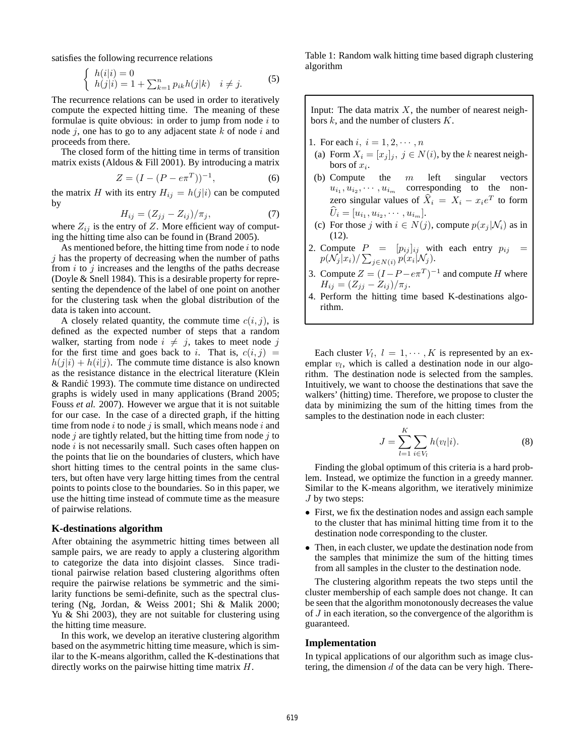satisfies the following recurrence relations

$$
\begin{cases}\nh(i|i) = 0 \\
h(j|i) = 1 + \sum_{k=1}^{n} p_{ik}h(j|k) & i \neq j.\n\end{cases}
$$
\n(5)

The recurrence relations can be used in order to iteratively compute the expected hitting time. The meaning of these formulae is quite obvious: in order to jump from node  $i$  to node  $j$ , one has to go to any adjacent state  $k$  of node  $i$  and proceeds from there.

The closed form of the hitting time in terms of transition matrix exists (Aldous & Fill 2001). By introducing a matrix

$$
Z = (I - (P - e\pi^T))^{-1},\tag{6}
$$

the matrix H with its entry  $H_{ij} = h(j|i)$  can be computed by

$$
H_{ij} = (Z_{jj} - Z_{ij})/\pi_j,\tag{7}
$$

where  $Z_{ij}$  is the entry of Z. More efficient way of computing the hitting time also can be found in (Brand 2005).

As mentioned before, the hitting time from node  $i$  to node  $i$  has the property of decreasing when the number of paths from  $i$  to  $j$  increases and the lengths of the paths decrease (Doyle & Snell 1984). This is a desirable property for representing the dependence of the label of one point on another for the clustering task when the global distribution of the data is taken into account.

A closely related quantity, the commute time  $c(i, j)$ , is defined as the expected number of steps that a random walker, starting from node  $i \neq j$ , takes to meet node j for the first time and goes back to i. That is,  $c(i, j)$  $h(j|i) + h(i|j)$ . The commute time distance is also known as the resistance distance in the electrical literature (Klein & Randić 1993). The commute time distance on undirected graphs is widely used in many applications (Brand 2005; Fouss *et al.* 2007). However we argue that it is not suitable for our case. In the case of a directed graph, if the hitting time from node  $i$  to node  $j$  is small, which means node  $i$  and node  $j$  are tightly related, but the hitting time from node  $j$  to node  $i$  is not necessarily small. Such cases often happen on the points that lie on the boundaries of clusters, which have short hitting times to the central points in the same clusters, but often have very large hitting times from the central points to points close to the boundaries. So in this paper, we use the hitting time instead of commute time as the measure of pairwise relations.

#### **K-destinations algorithm**

After obtaining the asymmetric hitting times between all sample pairs, we are ready to apply a clustering algorithm to categorize the data into disjoint classes. Since traditional pairwise relation based clustering algorithms often require the pairwise relations be symmetric and the similarity functions be semi-definite, such as the spectral clustering (Ng, Jordan, & Weiss 2001; Shi & Malik 2000; Yu & Shi 2003), they are not suitable for clustering using the hitting time measure.

In this work, we develop an iterative clustering algorithm based on the asymmetric hitting time measure, which is similar to the K-means algorithm, called the K-destinations that directly works on the pairwise hitting time matrix H.

Table 1: Random walk hitting time based digraph clustering algorithm

Input: The data matrix  $X$ , the number of nearest neighbors  $k$ , and the number of clusters  $K$ .

1. For each  $i, i = 1, 2, \dots, n$ 

- (a) Form  $X_i = [x_j]_j$ ,  $j \in N(i)$ , by the k nearest neighbors of  $x_i$ .
- (b) Compute the  $m$  left singular vectors  $u_{i_1}, u_{i_2}, \cdots, u_{i_m}$  corresponding to the nonzero singular values of  $\hat{X}_i = X_i - x_i e^T$  to form  $U_i = [u_{i_1}, u_{i_2}, \cdots, u_{i_m}].$
- (c) For those j with  $i \in N(j)$ , compute  $p(x_j | \mathcal{N}_i)$  as in (12).
- 2. Compute  $P = [p_{ij}]_{ij}$  with each entry  $p_{ij} =$  $p(\mathcal{N}_j | x_i) / \sum_{j \in N(i)} p(x_i | \mathcal{N}_j).$
- 3. Compute  $Z = (I P e\pi^T)^{-1}$  and compute H where  $H_{ij} = (Z_{jj} - Z_{ij})/\pi_j.$
- 4. Perform the hitting time based K-destinations algorithm.

Each cluster  $V_l$ ,  $l = 1, \cdots, K$  is represented by an exemplar  $v_l$ , which is called a destination node in our algorithm. The destination node is selected from the samples. Intuitively, we want to choose the destinations that save the walkers' (hitting) time. Therefore, we propose to cluster the data by minimizing the sum of the hitting times from the samples to the destination node in each cluster:

$$
J = \sum_{l=1}^{K} \sum_{i \in V_l} h(v_l|i). \tag{8}
$$

Finding the global optimum of this criteria is a hard problem. Instead, we optimize the function in a greedy manner. Similar to the K-means algorithm, we iteratively minimize  $J$  by two steps:

- First, we fix the destination nodes and assign each sample to the cluster that has minimal hitting time from it to the destination node corresponding to the cluster.
- Then, in each cluster, we update the destination node from the samples that minimize the sum of the hitting times from all samples in the cluster to the destination node.

The clustering algorithm repeats the two steps until the cluster membership of each sample does not change. It can be seen that the algorithm monotonously decreases the value of  $J$  in each iteration, so the convergence of the algorithm is guaranteed.

### **Implementation**

In typical applications of our algorithm such as image clustering, the dimension  $d$  of the data can be very high. There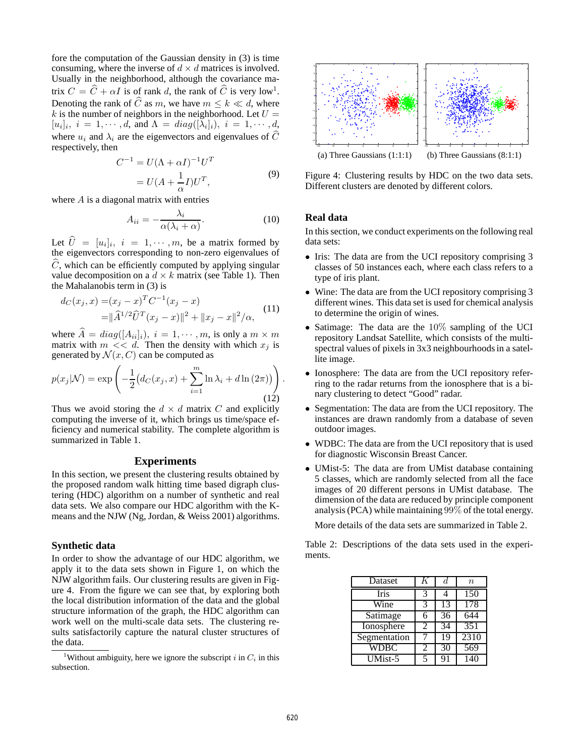fore the computation of the Gaussian density in (3) is time consuming, where the inverse of  $d \times d$  matrices is involved. Usually in the neighborhood, although the covariance matrix  $C = \widehat{C} + \alpha I$  is of rank d, the rank of  $\widehat{C}$  is very low<sup>1</sup>. Denoting the rank of  $\widehat{C}$  as m, we have  $m \leq k \ll d$ , where k is the number of neighbors in the neighborhood. Let  $U =$  $[u_i]_i$ ,  $i = 1, \dots, d$ , and  $\Lambda = diag([\lambda_i]_i)$ ,  $i = 1, \dots, d$ , where  $u_i$  and  $\lambda_i$  are the eigenvectors and eigenvalues of  $\widehat{C}$ respectively, then

$$
C^{-1} = U(\Lambda + \alpha I)^{-1}U^{T}
$$
  
= 
$$
U(A + \frac{1}{\alpha}I)U^{T},
$$
 (9)

where  $A$  is a diagonal matrix with entries

$$
A_{ii} = -\frac{\lambda_i}{\alpha(\lambda_i + \alpha)}.\tag{10}
$$

Let  $U = [u_i]_i$ ,  $i = 1, \dots, m$ , be a matrix formed by the eigenvectors corresponding to non-zero eigenvalues of  $C$ , which can be efficiently computed by applying singular value decomposition on a  $d \times k$  matrix (see Table 1). Then the Mahalanobis term in (3) is

$$
d_C(x_j, x) = (x_j - x)^T C^{-1} (x_j - x)
$$
  
=  $\|\hat{A}^{1/2} \hat{U}^T (x_j - x)\|^2 + \|x_j - x\|^2 / \alpha$ , (11)

where  $\widehat{A} = diag([A_{ii}]_i), i = 1, \cdots, m$ , is only a  $m \times m$ matrix with  $m \ll d$ . Then the density with which  $x_i$  is generated by  $\mathcal{N}(x, C)$  can be computed as

$$
p(x_j|\mathcal{N}) = \exp\left(-\frac{1}{2}\left(d_C(x_j, x) + \sum_{i=1}^m \ln \lambda_i + d \ln(2\pi)\right)\right).
$$
\n(12)

Thus we avoid storing the  $d \times d$  matrix C and explicitly computing the inverse of it, which brings us time/space efficiency and numerical stability. The complete algorithm is summarized in Table 1.

## **Experiments**

In this section, we present the clustering results obtained by the proposed random walk hitting time based digraph clustering (HDC) algorithm on a number of synthetic and real data sets. We also compare our HDC algorithm with the Kmeans and the NJW (Ng, Jordan, & Weiss 2001) algorithms.

### **Synthetic data**

In order to show the advantage of our HDC algorithm, we apply it to the data sets shown in Figure 1, on which the NJW algorithm fails. Our clustering results are given in Figure 4. From the figure we can see that, by exploring both the local distribution information of the data and the global structure information of the graph, the HDC algorithm can work well on the multi-scale data sets. The clustering results satisfactorily capture the natural cluster structures of the data.



Figure 4: Clustering results by HDC on the two data sets. Different clusters are denoted by different colors.

## **Real data**

In this section, we conduct experiments on the following real data sets:

- Iris: The data are from the UCI repository comprising 3 classes of 50 instances each, where each class refers to a type of iris plant.
- Wine: The data are from the UCI repository comprising 3 different wines. This data set is used for chemical analysis to determine the origin of wines.
- Satimage: The data are the  $10\%$  sampling of the UCI repository Landsat Satellite, which consists of the multispectral values of pixels in 3x3 neighbourhoods in a satellite image.
- Ionosphere: The data are from the UCI repository referring to the radar returns from the ionosphere that is a binary clustering to detect "Good" radar.
- Segmentation: The data are from the UCI repository. The instances are drawn randomly from a database of seven outdoor images.
- WDBC: The data are from the UCI repository that is used for diagnostic Wisconsin Breast Cancer.
- UMist-5: The data are from UMist database containing 5 classes, which are randomly selected from all the face images of 20 different persons in UMist database. The dimension of the data are reduced by principle component analysis (PCA) while maintaining 99% of the total energy.

More details of the data sets are summarized in Table 2.

Table 2: Descriptions of the data sets used in the experiments.

| Dataset      | K                        | d.              | $\boldsymbol{n}$ |
|--------------|--------------------------|-----------------|------------------|
| Iris         | 3                        |                 | 150              |
| Wine         | 3                        | 13              | 178              |
| Satimage     | 6                        | $\overline{36}$ | 644              |
| Ionosphere   | 2                        | 34              | 351              |
| Segmentation |                          | 19              | 2310             |
| WDBC         | 2                        | 30              | 569              |
| $UMist-5$    | $\overline{\phantom{1}}$ | 91              | 140              |

<sup>&</sup>lt;sup>1</sup>Without ambiguity, here we ignore the subscript i in  $C_i$  in this subsection.